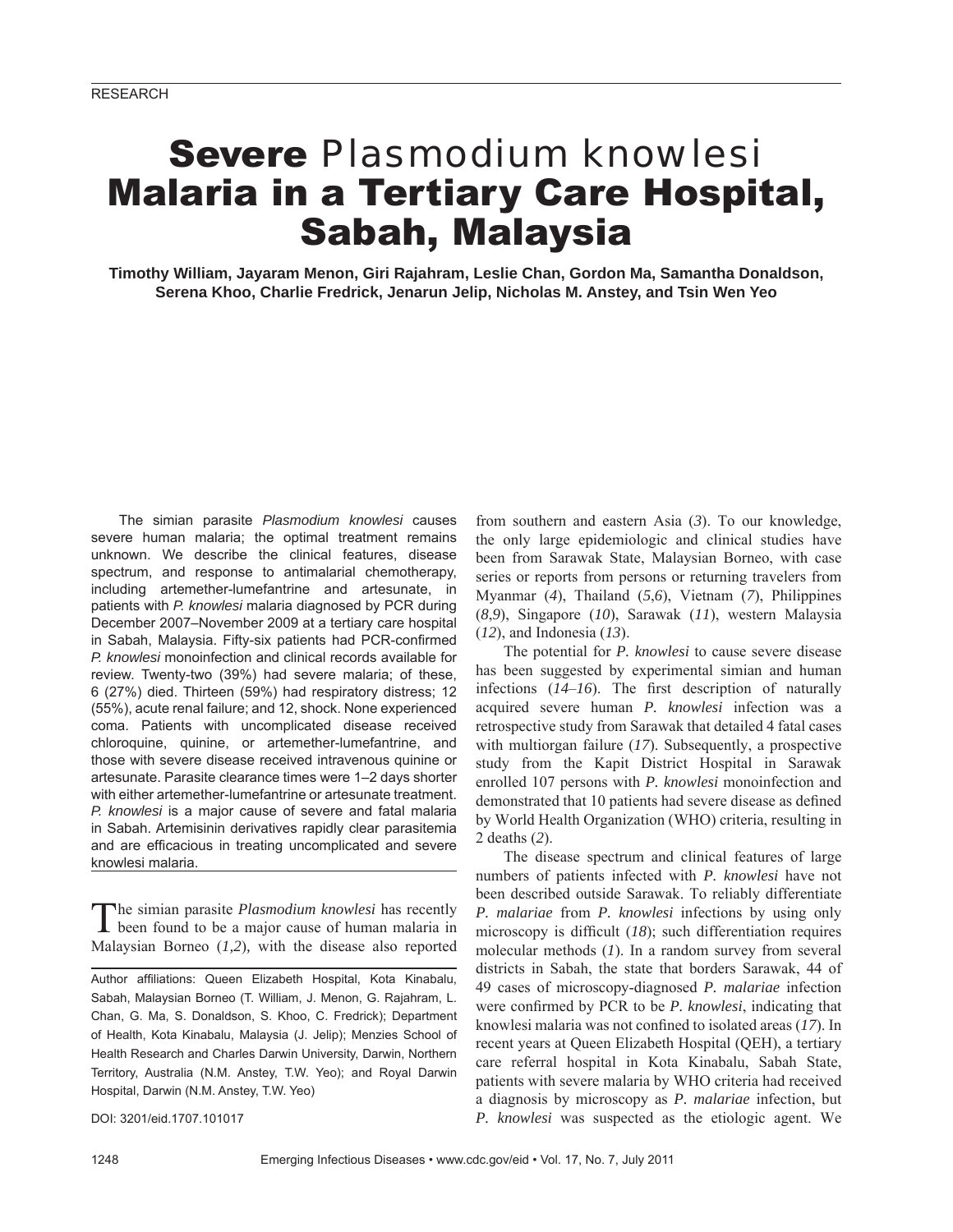# Severe *Plasmodium knowlesi* Malaria in a Tertiary Care Hospital, Sabah, Malaysia

**Timothy William, Jayaram Menon, Giri Rajahram, Leslie Chan, Gordon Ma, Samantha Donaldson, Serena Khoo, Charlie Fredrick, Jenarun Jelip, Nicholas M. Anstey, and Tsin Wen Yeo**

The simian parasite *Plasmodium knowlesi* causes severe human malaria; the optimal treatment remains unknown. We describe the clinical features, disease spectrum, and response to antimalarial chemotherapy, including artemether-lumefantrine and artesunate, in patients with *P. knowlesi* malaria diagnosed by PCR during December 2007–November 2009 at a tertiary care hospital in Sabah, Malaysia. Fifty-six patients had PCR-confirmed *P. knowlesi* monoinfection and clinical records available for review. Twenty-two (39%) had severe malaria; of these, 6 (27%) died. Thirteen (59%) had respiratory distress; 12 (55%), acute renal failure; and 12, shock. None experienced coma. Patients with uncomplicated disease received chloroquine, quinine, or artemether-lumefantrine, and those with severe disease received intravenous quinine or artesunate. Parasite clearance times were 1–2 days shorter with either artemether-lumefantrine or artesunate treatment. *P. knowlesi* is a major cause of severe and fatal malaria in Sabah. Artemisinin derivatives rapidly clear parasitemia and are efficacious in treating uncomplicated and severe knowlesi malaria.

The simian parasite *Plasmodium knowlesi* has recently been found to be a major cause of human malaria in Malaysian Borneo (*1,2*)*,* with the disease also reported

DOI: 3201/eid.1707.101017

from southern and eastern Asia (*3*). To our knowledge, the only large epidemiologic and clinical studies have been from Sarawak State, Malaysian Borneo, with case series or reports from persons or returning travelers from Myanmar (*4*), Thailand (*5*,*6*), Vietnam (*7*), Philippines (*8*,*9*), Singapore (*10*), Sarawak (*11*), western Malaysia (*12*), and Indonesia (*13*).

The potential for *P. knowlesi* to cause severe disease has been suggested by experimental simian and human infections  $(14–16)$ . The first description of naturally acquired severe human *P. knowlesi* infection was a retrospective study from Sarawak that detailed 4 fatal cases with multiorgan failure (*17*). Subsequently, a prospective study from the Kapit District Hospital in Sarawak enrolled 107 persons with *P. knowlesi* monoinfection and demonstrated that 10 patients had severe disease as defined by World Health Organization (WHO) criteria, resulting in 2 deaths (*2*).

The disease spectrum and clinical features of large numbers of patients infected with *P. knowlesi* have not been described outside Sarawak. To reliably differentiate *P. malariae* from *P. knowlesi* infections by using only microscopy is difficult (*18*); such differentiation requires molecular methods (*1*). In a random survey from several districts in Sabah, the state that borders Sarawak, 44 of 49 cases of microscopy-diagnosed *P. malariae* infection were confirmed by PCR to be *P. knowlesi*, indicating that knowlesi malaria was not confined to isolated areas (17). In recent years at Queen Elizabeth Hospital (QEH), a tertiary care referral hospital in Kota Kinabalu, Sabah State, patients with severe malaria by WHO criteria had received a diagnosis by microscopy as *P. malariae* infection, but *P. knowlesi* was suspected as the etiologic agent. We

Author affiliations: Queen Elizabeth Hospital, Kota Kinabalu, Sabah, Malaysian Borneo (T. William, J. Menon, G. Rajahram, L. Chan, G. Ma, S. Donaldson, S. Khoo, C. Fredrick); Department of Health, Kota Kinabalu, Malaysia (J. Jelip); Menzies School of Health Research and Charles Darwin University, Darwin, Northern Territory, Australia (N.M. Anstey, T.W. Yeo); and Royal Darwin Hospital, Darwin (N.M. Anstey, T.W. Yeo)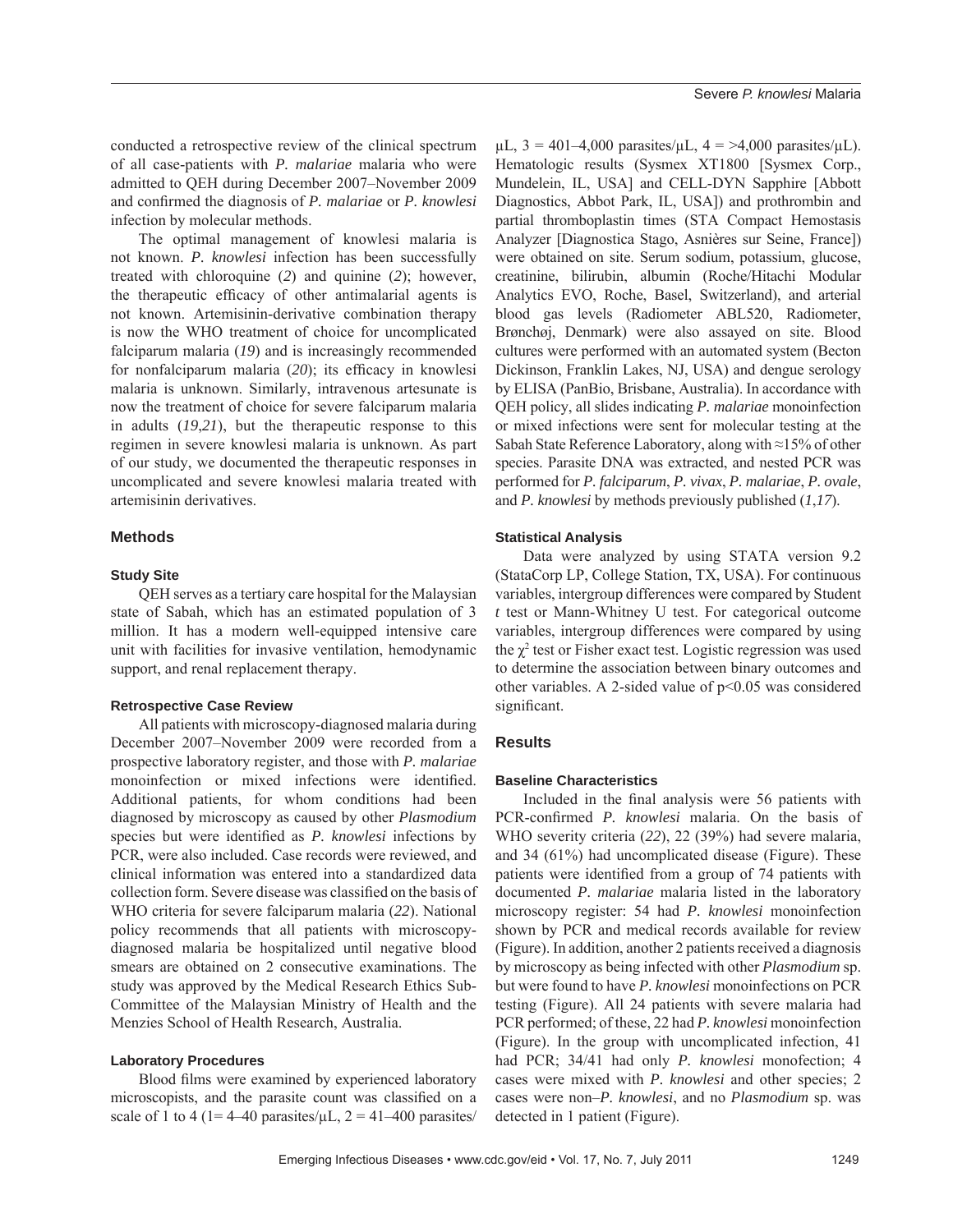conducted a retrospective review of the clinical spectrum of all case-patients with *P. malariae* malaria who were admitted to QEH during December 2007–November 2009 and confirmed the diagnosis of *P. malariae* or *P. knowlesi* infection by molecular methods.

The optimal management of knowlesi malaria is not known. *P. knowlesi* infection has been successfully treated with chloroquine (*2*) and quinine (*2*); however, the therapeutic efficacy of other antimalarial agents is not known. Artemisinin-derivative combination therapy is now the WHO treatment of choice for uncomplicated falciparum malaria (*19*) and is increasingly recommended for nonfalciparum malaria (20); its efficacy in knowlesi malaria is unknown. Similarly, intravenous artesunate is now the treatment of choice for severe falciparum malaria in adults (*19*,*21*), but the therapeutic response to this regimen in severe knowlesi malaria is unknown. As part of our study, we documented the therapeutic responses in uncomplicated and severe knowlesi malaria treated with artemisinin derivatives.

# **Methods**

# **Study Site**

QEH serves as a tertiary care hospital for the Malaysian state of Sabah, which has an estimated population of 3 million. It has a modern well-equipped intensive care unit with facilities for invasive ventilation, hemodynamic support, and renal replacement therapy.

## **Retrospective Case Review**

All patients with microscopy-diagnosed malaria during December 2007–November 2009 were recorded from a prospective laboratory register, and those with *P. malariae* monoinfection or mixed infections were identified. Additional patients, for whom conditions had been diagnosed by microscopy as caused by other *Plasmodium* species but were identified as *P. knowlesi* infections by PCR, were also included. Case records were reviewed, and clinical information was entered into a standardized data collection form. Severe disease was classified on the basis of WHO criteria for severe falciparum malaria (*22*). National policy recommends that all patients with microscopydiagnosed malaria be hospitalized until negative blood smears are obtained on 2 consecutive examinations. The study was approved by the Medical Research Ethics Sub-Committee of the Malaysian Ministry of Health and the Menzies School of Health Research, Australia.

#### **Laboratory Procedures**

Blood films were examined by experienced laboratory microscopists, and the parasite count was classified on a scale of 1 to 4 (1= 4–40 parasites/ $\mu$ L, 2 = 41–400 parasites/

 $\mu$ L, 3 = 401–4,000 parasites/ $\mu$ L, 4 = >4,000 parasites/ $\mu$ L). Hematologic results (Sysmex XT1800 [Sysmex Corp., Mundelein, IL, USA] and CELL-DYN Sapphire [Abbott Diagnostics, Abbot Park, IL, USA]) and prothrombin and partial thromboplastin times (STA Compact Hemostasis Analyzer [Diagnostica Stago, Asnières sur Seine, France]) were obtained on site. Serum sodium, potassium, glucose, creatinine, bilirubin, albumin (Roche/Hitachi Modular Analytics EVO, Roche, Basel, Switzerland), and arterial blood gas levels (Radiometer ABL520, Radiometer, Brønchøj, Denmark) were also assayed on site. Blood cultures were performed with an automated system (Becton Dickinson, Franklin Lakes, NJ, USA) and dengue serology by ELISA (PanBio, Brisbane, Australia). In accordance with QEH policy, all slides indicating *P. malariae* monoinfection or mixed infections were sent for molecular testing at the Sabah State Reference Laboratory, along with ≈15% of other species. Parasite DNA was extracted, and nested PCR was performed for *P. falciparum*, *P. vivax*, *P. malariae*, *P. ovale*, and *P. knowlesi* by methods previously published (*1*,*17*).

# **Statistical Analysis**

Data were analyzed by using STATA version 9.2 (StataCorp LP, College Station, TX, USA). For continuous variables, intergroup differences were compared by Student *t* test or Mann-Whitney U test. For categorical outcome variables, intergroup differences were compared by using the  $\chi^2$  test or Fisher exact test. Logistic regression was used to determine the association between binary outcomes and other variables. A 2-sided value of  $p<0.05$  was considered significant.

# **Results**

## **Baseline Characteristics**

Included in the final analysis were 56 patients with PCR-confirmed *P. knowlesi* malaria. On the basis of WHO severity criteria (*22*), 22 (39%) had severe malaria, and 34 (61%) had uncomplicated disease (Figure). These patients were identified from a group of 74 patients with documented *P. malariae* malaria listed in the laboratory microscopy register: 54 had *P. knowlesi* monoinfection shown by PCR and medical records available for review (Figure). In addition, another 2 patients received a diagnosis by microscopy as being infected with other *Plasmodium* sp. but were found to have *P. knowlesi* monoinfections on PCR testing (Figure). All 24 patients with severe malaria had PCR performed; of these, 22 had *P. knowlesi* monoinfection (Figure). In the group with uncomplicated infection, 41 had PCR; 34/41 had only *P. knowlesi* monofection; 4 cases were mixed with *P. knowlesi* and other species; 2 cases were non–*P. knowlesi*, and no *Plasmodium* sp. was detected in 1 patient (Figure).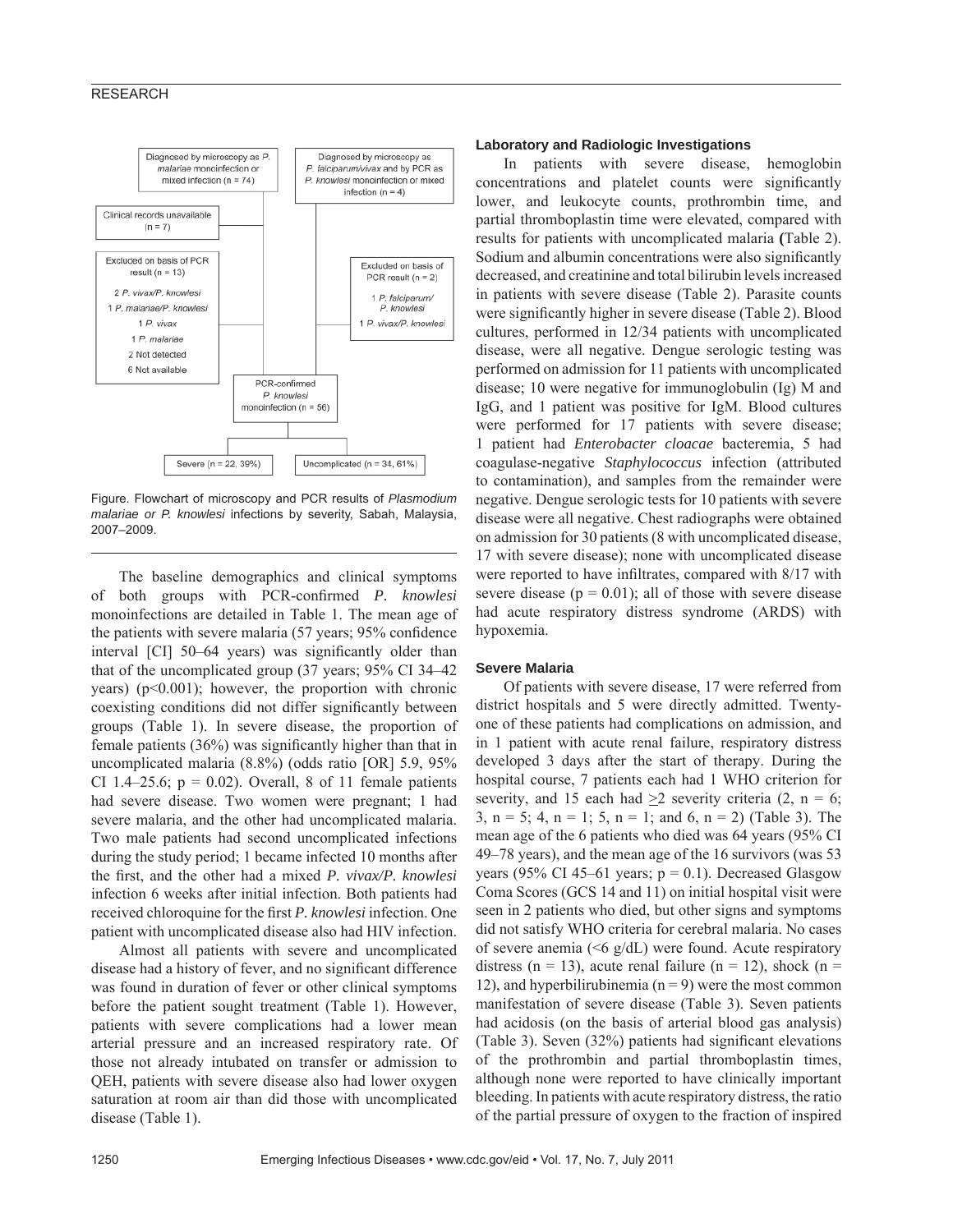# **RESEARCH**



Figure. Flowchart of microscopy and PCR results of *Plasmodium malariae or P. knowlesi* infections by severity, Sabah, Malaysia, 2007–2009.

The baseline demographics and clinical symptoms of both groups with PCR-confirmed *P. knowlesi* monoinfections are detailed in Table 1. The mean age of the patients with severe malaria (57 years; 95% confidence interval [CI] 50–64 years) was significantly older than that of the uncomplicated group (37 years; 95% CI 34–42 years) ( $p<0.001$ ); however, the proportion with chronic coexisting conditions did not differ significantly between groups (Table 1). In severe disease, the proportion of female patients  $(36\%)$  was significantly higher than that in uncomplicated malaria (8.8%) (odds ratio [OR] 5.9, 95% CI 1.4–25.6;  $p = 0.02$ ). Overall, 8 of 11 female patients had severe disease. Two women were pregnant; 1 had severe malaria, and the other had uncomplicated malaria. Two male patients had second uncomplicated infections during the study period; 1 became infected 10 months after the first, and the other had a mixed *P. vivax/P. knowlesi* infection 6 weeks after initial infection. Both patients had received chloroquine for the first *P. knowlesi* infection. One patient with uncomplicated disease also had HIV infection.

Almost all patients with severe and uncomplicated disease had a history of fever, and no significant difference was found in duration of fever or other clinical symptoms before the patient sought treatment (Table 1). However, patients with severe complications had a lower mean arterial pressure and an increased respiratory rate. Of those not already intubated on transfer or admission to QEH, patients with severe disease also had lower oxygen saturation at room air than did those with uncomplicated disease (Table 1).

# **Laboratory and Radiologic Investigations**

In patients with severe disease, hemoglobin concentrations and platelet counts were significantly lower, and leukocyte counts, prothrombin time, and partial thromboplastin time were elevated, compared with results for patients with uncomplicated malaria **(**Table 2). Sodium and albumin concentrations were also significantly decreased, and creatinine and total bilirubin levels increased in patients with severe disease (Table 2). Parasite counts were significantly higher in severe disease (Table 2). Blood cultures, performed in 12/34 patients with uncomplicated disease, were all negative. Dengue serologic testing was performed on admission for 11 patients with uncomplicated disease; 10 were negative for immunoglobulin (Ig) M and IgG, and 1 patient was positive for IgM. Blood cultures were performed for 17 patients with severe disease; 1 patient had *Enterobacter cloacae* bacteremia, 5 had coagulase-negative *Staphylococcus* infection (attributed to contamination), and samples from the remainder were negative. Dengue serologic tests for 10 patients with severe disease were all negative. Chest radiographs were obtained on admission for 30 patients (8 with uncomplicated disease, 17 with severe disease); none with uncomplicated disease were reported to have infiltrates, compared with 8/17 with severe disease ( $p = 0.01$ ); all of those with severe disease had acute respiratory distress syndrome (ARDS) with hypoxemia.

#### **Severe Malaria**

Of patients with severe disease, 17 were referred from district hospitals and 5 were directly admitted. Twentyone of these patients had complications on admission, and in 1 patient with acute renal failure, respiratory distress developed 3 days after the start of therapy. During the hospital course, 7 patients each had 1 WHO criterion for severity, and 15 each had  $\geq 2$  severity criteria (2, n = 6; 3,  $n = 5$ ; 4,  $n = 1$ ; 5,  $n = 1$ ; and 6,  $n = 2$ ) (Table 3). The mean age of the 6 patients who died was 64 years (95% CI 49–78 years), and the mean age of the 16 survivors (was 53 years (95% CI 45–61 years;  $p = 0.1$ ). Decreased Glasgow Coma Scores (GCS 14 and 11) on initial hospital visit were seen in 2 patients who died, but other signs and symptoms did not satisfy WHO criteria for cerebral malaria. No cases of severe anemia ( $\leq 6$  g/dL) were found. Acute respiratory distress (n = 13), acute renal failure (n = 12), shock (n = 12), and hyperbilirubinemia ( $n = 9$ ) were the most common manifestation of severe disease (Table 3). Seven patients had acidosis (on the basis of arterial blood gas analysis) (Table 3). Seven  $(32%)$  patients had significant elevations of the prothrombin and partial thromboplastin times, although none were reported to have clinically important bleeding. In patients with acute respiratory distress, the ratio of the partial pressure of oxygen to the fraction of inspired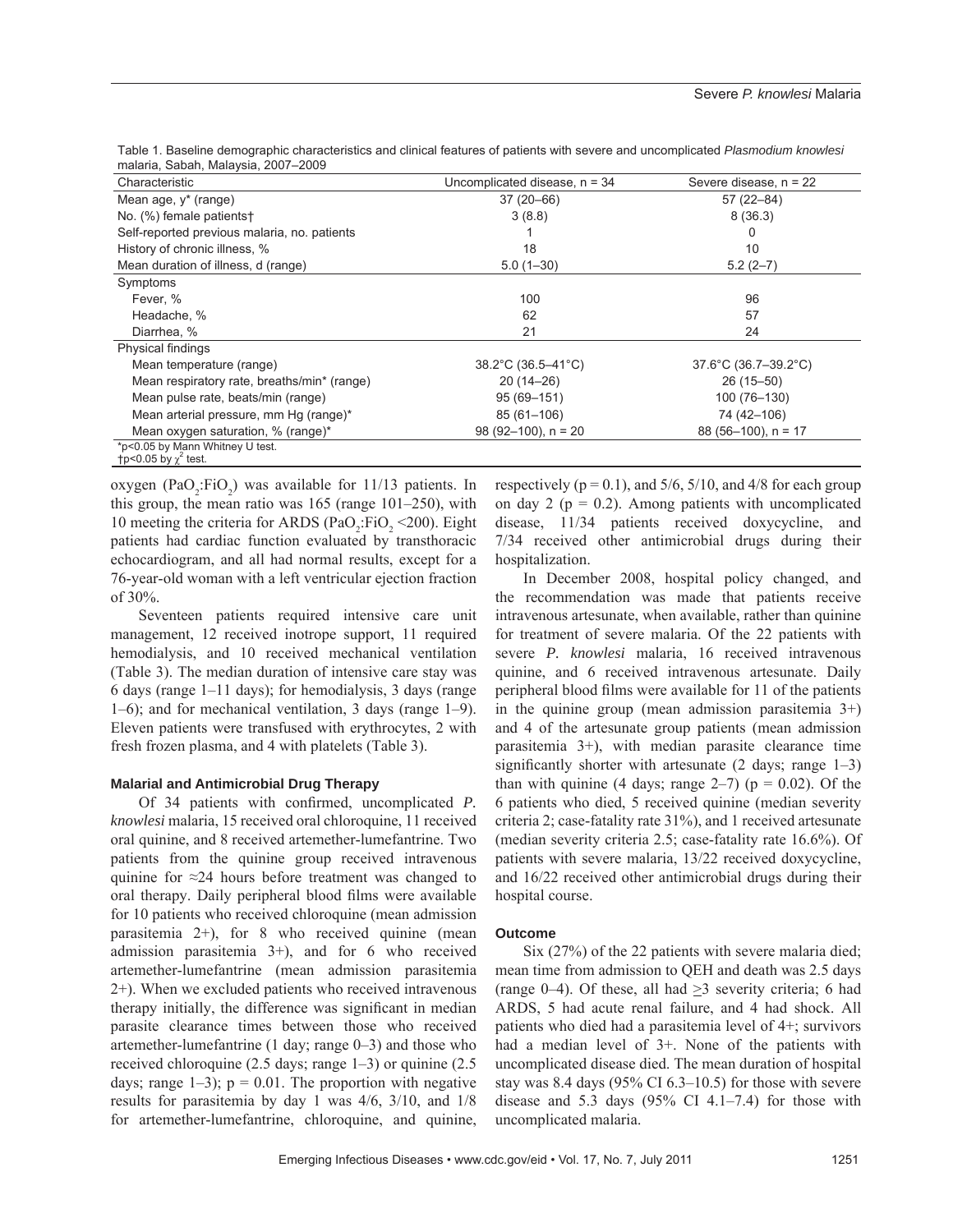| Characteristic<br>Uncomplicated disease, $n = 34$              | Severe disease, $n = 22$ |
|----------------------------------------------------------------|--------------------------|
| $37(20 - 66)$<br>Mean age, y* (range)                          | $57(22 - 84)$            |
| No. (%) female patients†<br>3(8.8)                             | 8(36.3)                  |
| Self-reported previous malaria, no. patients                   | 0                        |
| History of chronic illness, %<br>18                            | 10                       |
| Mean duration of illness, d (range)<br>$5.0(1 - 30)$           | $5.2(2-7)$               |
| Symptoms                                                       |                          |
| Fever, %<br>100                                                | 96                       |
| 62<br>Headache, %                                              | 57                       |
| 21<br>Diarrhea, %                                              | 24                       |
| Physical findings                                              |                          |
| 38.2°C (36.5–41°C)<br>Mean temperature (range)                 | 37.6°C (36.7-39.2°C)     |
| Mean respiratory rate, breaths/min* (range)<br>$20(14-26)$     | $26(15 - 50)$            |
| Mean pulse rate, beats/min (range)<br>$95(69 - 151)$           | 100 (76-130)             |
| Mean arterial pressure, mm Hg (range)*<br>85 (61-106)          | 74 (42-106)              |
| $98(92-100)$ , n = 20<br>Mean oxygen saturation, % (range)*    | $88(56-100)$ , n = 17    |
| *p<0.05 by Mann Whitney U test.<br>$tp<0.05$ by $\chi^2$ test. |                          |

Table 1. Baseline demographic characteristics and clinical features of patients with severe and uncomplicated *Plasmodium knowlesi*  malaria, Sabah, Malaysia, 2007–2009

oxygen (PaO<sub>2</sub>:FiO<sub>2</sub>) was available for  $11/13$  patients. In this group, the mean ratio was 165 (range 101–250), with 10 meeting the criteria for ARDS (PaO<sub>2</sub>:FiO<sub>2</sub> <200). Eight patients had cardiac function evaluated by transthoracic echocardiogram, and all had normal results, except for a 76-year-old woman with a left ventricular ejection fraction of 30%.

Seventeen patients required intensive care unit management, 12 received inotrope support, 11 required hemodialysis, and 10 received mechanical ventilation (Table 3). The median duration of intensive care stay was 6 days (range 1–11 days); for hemodialysis, 3 days (range 1–6); and for mechanical ventilation, 3 days (range 1–9). Eleven patients were transfused with erythrocytes, 2 with fresh frozen plasma, and 4 with platelets (Table 3).

## **Malarial and Antimicrobial Drug Therapy**

Of 34 patients with confirmed, uncomplicated *P*. *knowlesi* malaria, 15 received oral chloroquine, 11 received oral quinine, and 8 received artemether-lumefantrine. Two patients from the quinine group received intravenous quinine for ≈24 hours before treatment was changed to oral therapy. Daily peripheral blood films were available for 10 patients who received chloroquine (mean admission parasitemia 2+), for 8 who received quinine (mean admission parasitemia 3+), and for 6 who received artemether-lumefantrine (mean admission parasitemia 2+). When we excluded patients who received intravenous therapy initially, the difference was significant in median parasite clearance times between those who received artemether-lumefantrine (1 day; range 0–3) and those who received chloroquine (2.5 days; range 1–3) or quinine (2.5 days; range  $1-3$ );  $p = 0.01$ . The proportion with negative results for parasitemia by day 1 was 4/6, 3/10, and 1/8 for artemether-lumefantrine, chloroquine, and quinine,

respectively ( $p = 0.1$ ), and  $5/6$ ,  $5/10$ , and  $4/8$  for each group on day 2 ( $p = 0.2$ ). Among patients with uncomplicated disease, 11/34 patients received doxycycline, and 7/34 received other antimicrobial drugs during their hospitalization.

In December 2008, hospital policy changed, and the recommendation was made that patients receive intravenous artesunate, when available, rather than quinine for treatment of severe malaria. Of the 22 patients with severe *P. knowlesi* malaria, 16 received intravenous quinine, and 6 received intravenous artesunate. Daily peripheral blood films were available for 11 of the patients in the quinine group (mean admission parasitemia 3+) and 4 of the artesunate group patients (mean admission parasitemia 3+), with median parasite clearance time significantly shorter with artesunate  $(2 \text{ days}; \text{ range } 1-3)$ than with quinine (4 days; range  $2-7$ ) ( $p = 0.02$ ). Of the 6 patients who died, 5 received quinine (median severity criteria 2; case-fatality rate 31%), and 1 received artesunate (median severity criteria 2.5; case-fatality rate 16.6%). Of patients with severe malaria, 13/22 received doxycycline, and 16/22 received other antimicrobial drugs during their hospital course.

#### **Outcome**

Six (27%) of the 22 patients with severe malaria died; mean time from admission to QEH and death was 2.5 days (range 0–4). Of these, all had >3 severity criteria; 6 had ARDS, 5 had acute renal failure, and 4 had shock. All patients who died had a parasitemia level of 4+; survivors had a median level of 3+. None of the patients with uncomplicated disease died. The mean duration of hospital stay was 8.4 days (95% CI 6.3–10.5) for those with severe disease and  $5.3$  days  $(95\% \text{ CI } 4.1-7.4)$  for those with uncomplicated malaria.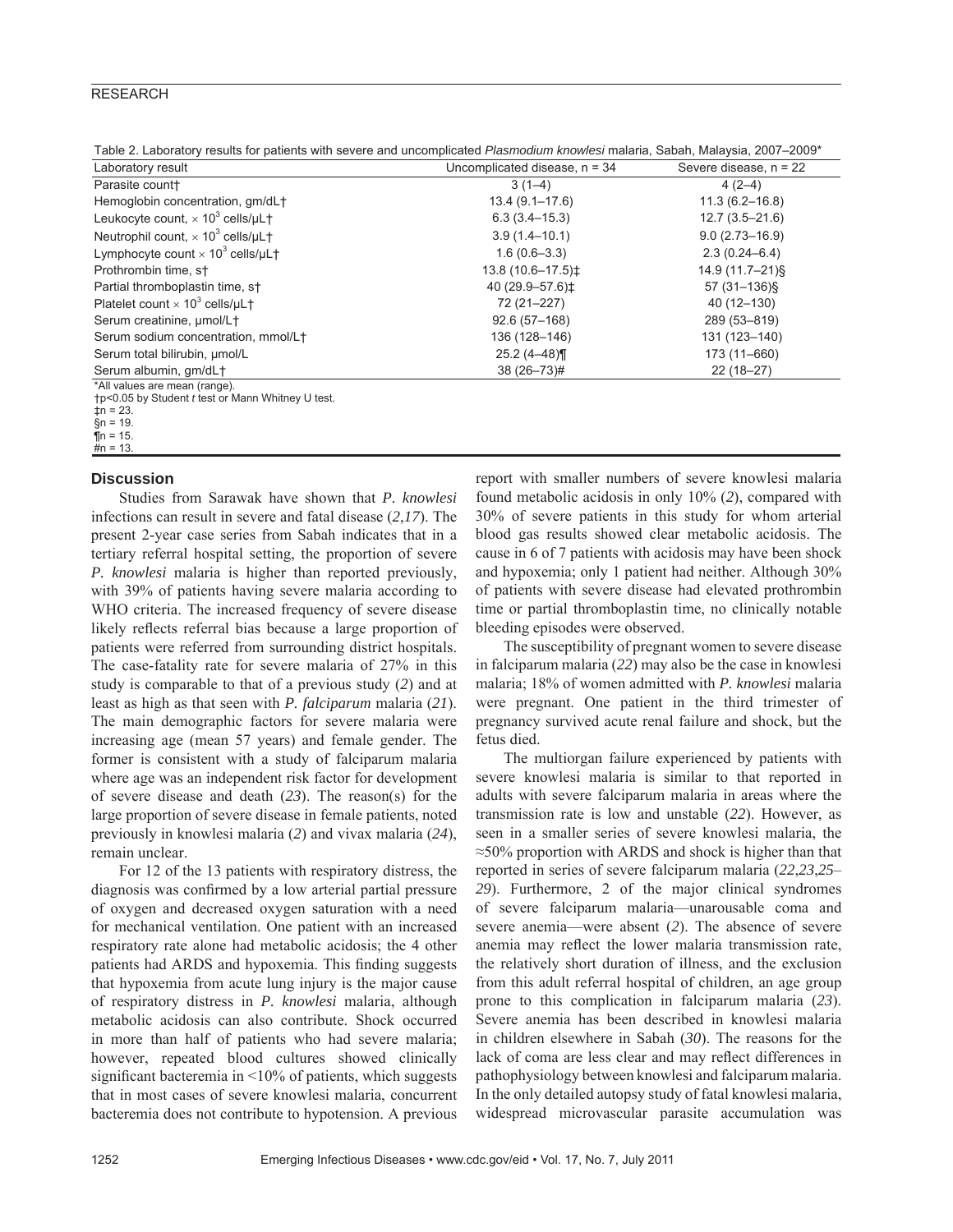# **RESEARCH**

Table 2. Laboratory results for patients with severe and uncomplicated *Plasmodium knowlesi* malaria, Sabah, Malaysia, 2007–2009\*

| Laboratory result                                                   | Uncomplicated disease, $n = 34$ | Severe disease, $n = 22$ |  |  |
|---------------------------------------------------------------------|---------------------------------|--------------------------|--|--|
| Parasite count+                                                     | $3(1-4)$                        | $4(2-4)$                 |  |  |
| Hemoglobin concentration, gm/dL+                                    | $13.4(9.1 - 17.6)$              | $11.3(6.2 - 16.8)$       |  |  |
| Leukocyte count, $\times$ 10 <sup>3</sup> cells/ $\mu$ L $\dagger$  | $6.3(3.4 - 15.3)$               | $12.7(3.5 - 21.6)$       |  |  |
| Neutrophil count, $\times$ 10 <sup>3</sup> cells/ $\mu$ L $\dagger$ | $3.9(1.4 - 10.1)$               | $9.0(2.73 - 16.9)$       |  |  |
| Lymphocyte count $\times$ 10 <sup>3</sup> cells/ $\mu$ L $\dagger$  | $1.6(0.6 - 3.3)$                | $2.3(0.24 - 6.4)$        |  |  |
| Prothrombin time, st                                                | 13.8 (10.6-17.5) $\pm$          | 14.9 (11.7-21)§          |  |  |
| Partial thromboplastin time, st                                     | 40 (29.9-57.6) $\pm$            | 57 (31-136)§             |  |  |
| Platelet count $\times$ 10 <sup>3</sup> cells/ $\mu$ L <sup>+</sup> | 72 (21-227)                     | 40 (12-130)              |  |  |
| Serum creatinine, umol/L+                                           | $92.6(57-168)$                  | 289 (53-819)             |  |  |
| Serum sodium concentration, mmol/L+                                 | 136 (128-146)                   | 131 (123-140)            |  |  |
| Serum total bilirubin, umol/L                                       | $25.2(4 - 48)$                  | 173 (11-660)             |  |  |
| Serum albumin, gm/dL+                                               | 38 (26-73)#                     | $22(18-27)$              |  |  |
| *All values are mean (range).                                       |                                 |                          |  |  |

†p<0.05 by Student *t* test or Mann Whitney U test.

 $\overline{t}$ n = 23.

 $\sin = 19$ .

 $\bar{p}$ n = 15.  $\frac{1}{4}n = 13$ .

# **Discussion**

Studies from Sarawak have shown that *P. knowlesi* infections can result in severe and fatal disease (*2*,*17*). The present 2-year case series from Sabah indicates that in a tertiary referral hospital setting, the proportion of severe *P. knowlesi* malaria is higher than reported previously, with 39% of patients having severe malaria according to WHO criteria. The increased frequency of severe disease likely reflects referral bias because a large proportion of patients were referred from surrounding district hospitals. The case-fatality rate for severe malaria of 27% in this study is comparable to that of a previous study (*2*) and at least as high as that seen with *P. falciparum* malaria (*21*). The main demographic factors for severe malaria were increasing age (mean 57 years) and female gender. The former is consistent with a study of falciparum malaria where age was an independent risk factor for development of severe disease and death (*23*). The reason(s) for the large proportion of severe disease in female patients, noted previously in knowlesi malaria (*2*) and vivax malaria (*24*), remain unclear.

For 12 of the 13 patients with respiratory distress, the diagnosis was confirmed by a low arterial partial pressure of oxygen and decreased oxygen saturation with a need for mechanical ventilation. One patient with an increased respiratory rate alone had metabolic acidosis; the 4 other patients had ARDS and hypoxemia. This finding suggests that hypoxemia from acute lung injury is the major cause of respiratory distress in *P. knowlesi* malaria, although metabolic acidosis can also contribute. Shock occurred in more than half of patients who had severe malaria; however, repeated blood cultures showed clinically significant bacteremia in  $\leq 10\%$  of patients, which suggests that in most cases of severe knowlesi malaria, concurrent bacteremia does not contribute to hypotension. A previous

report with smaller numbers of severe knowlesi malaria found metabolic acidosis in only 10% (*2*), compared with 30% of severe patients in this study for whom arterial blood gas results showed clear metabolic acidosis. The cause in 6 of 7 patients with acidosis may have been shock and hypoxemia; only 1 patient had neither. Although 30% of patients with severe disease had elevated prothrombin time or partial thromboplastin time, no clinically notable bleeding episodes were observed.

The susceptibility of pregnant women to severe disease in falciparum malaria (*22*) may also be the case in knowlesi malaria; 18% of women admitted with *P. knowlesi* malaria were pregnant. One patient in the third trimester of pregnancy survived acute renal failure and shock, but the fetus died.

The multiorgan failure experienced by patients with severe knowlesi malaria is similar to that reported in adults with severe falciparum malaria in areas where the transmission rate is low and unstable (*22*). However, as seen in a smaller series of severe knowlesi malaria, the ≈50% proportion with ARDS and shock is higher than that reported in series of severe falciparum malaria (*22*,*23*,*25*– *29*). Furthermore, 2 of the major clinical syndromes of severe falciparum malaria—unarousable coma and severe anemia—were absent (*2*). The absence of severe anemia may reflect the lower malaria transmission rate. the relatively short duration of illness, and the exclusion from this adult referral hospital of children, an age group prone to this complication in falciparum malaria (*23*). Severe anemia has been described in knowlesi malaria in children elsewhere in Sabah (*30*). The reasons for the lack of coma are less clear and may reflect differences in pathophysiology between knowlesi and falciparum malaria. In the only detailed autopsy study of fatal knowlesi malaria, widespread microvascular parasite accumulation was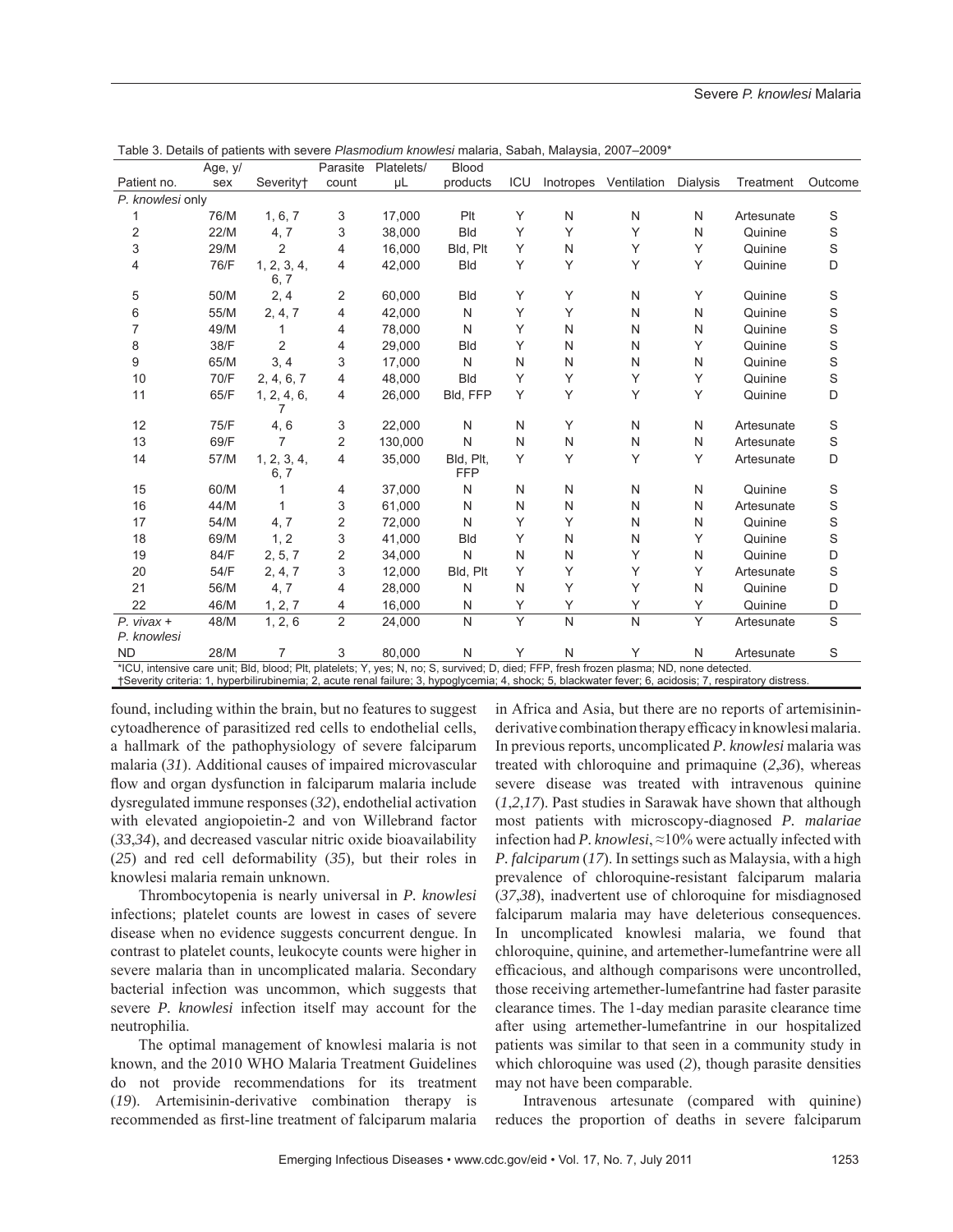|                                                                                                                                                                                                                                                                                                      | Age, y/ |                       | Parasite       | Platelets/ | <b>Blood</b> |     |              |              |              |            |             |
|------------------------------------------------------------------------------------------------------------------------------------------------------------------------------------------------------------------------------------------------------------------------------------------------------|---------|-----------------------|----------------|------------|--------------|-----|--------------|--------------|--------------|------------|-------------|
| Patient no.                                                                                                                                                                                                                                                                                          | sex     | Severity <sup>+</sup> | count          | μL         | products     | ICU | Inotropes    | Ventilation  | Dialysis     | Treatment  | Outcome     |
| P. knowlesi only                                                                                                                                                                                                                                                                                     |         |                       |                |            |              |     |              |              |              |            |             |
| 1                                                                                                                                                                                                                                                                                                    | 76/M    | 1, 6, 7               | 3              | 17,000     | Plt          | Y   | N            | N            | N            | Artesunate | S           |
| 2                                                                                                                                                                                                                                                                                                    | 22/M    | 4, 7                  | 3              | 38,000     | <b>Bld</b>   | Y   | Υ            | Υ            | N            | Quinine    | $\mathbf S$ |
| 3                                                                                                                                                                                                                                                                                                    | 29/M    | $\overline{2}$        | 4              | 16,000     | Bld, Plt     | Y   | N            | Υ            | Y            | Quinine    | S           |
| 4                                                                                                                                                                                                                                                                                                    | 76/F    | 1, 2, 3, 4,           | 4              | 42,000     | <b>Bld</b>   | Y   | Υ            | Υ            | Y            | Quinine    | D           |
|                                                                                                                                                                                                                                                                                                      |         | 6, 7                  |                |            |              |     |              |              |              |            |             |
| 5                                                                                                                                                                                                                                                                                                    | 50/M    | 2, 4                  | 2              | 60,000     | <b>Bld</b>   | Υ   | Υ            | N            | Υ            | Quinine    | S           |
| 6                                                                                                                                                                                                                                                                                                    | 55/M    | 2, 4, 7               | 4              | 42.000     | N            | Υ   | Υ            | N            | N            | Quinine    | $\mathbf S$ |
| $\overline{7}$                                                                                                                                                                                                                                                                                       | 49/M    |                       | 4              | 78,000     | N            | Y   | N            | N            | N            | Quinine    | $\mathbf S$ |
| 8                                                                                                                                                                                                                                                                                                    | 38/F    | $\overline{2}$        | 4              | 29,000     | <b>Bld</b>   | Υ   | N            | Ν            | Y            | Quinine    | $\mathbf S$ |
| 9                                                                                                                                                                                                                                                                                                    | 65/M    | 3, 4                  | 3              | 17,000     | N            | N   | N            | N            | N            | Quinine    | S           |
| 10                                                                                                                                                                                                                                                                                                   | 70/F    | 2, 4, 6, 7            | 4              | 48,000     | <b>Bld</b>   | Υ   | Υ            | Υ            | Y            | Quinine    | $\mathbf S$ |
| 11                                                                                                                                                                                                                                                                                                   | 65/F    | 1, 2, 4, 6,<br>7      | 4              | 26,000     | Bld, FFP     | Y   | Y            | Y            | Υ            | Quinine    | D           |
| 12                                                                                                                                                                                                                                                                                                   | 75/F    | 4,6                   | 3              | 22,000     | N            | N   | Υ            | N            | N            | Artesunate | $\mathbb S$ |
| 13                                                                                                                                                                                                                                                                                                   | 69/F    | 7                     | 2              | 130,000    | $\mathsf{N}$ | N   | N            | N            | N            | Artesunate | $\mathbf S$ |
| 14                                                                                                                                                                                                                                                                                                   | 57/M    | 1, 2, 3, 4,           | 4              | 35,000     | Bld, Plt,    | Υ   | Υ            | Υ            | Y            | Artesunate | D           |
|                                                                                                                                                                                                                                                                                                      |         | 6, 7                  |                |            | <b>FFP</b>   |     |              |              |              |            |             |
| 15                                                                                                                                                                                                                                                                                                   | 60/M    |                       | 4              | 37,000     | N            | N   | N            | N            | N            | Quinine    | $\mathbb S$ |
| 16                                                                                                                                                                                                                                                                                                   | 44/M    |                       | 3              | 61,000     | N            | N   | N            | N            | N            | Artesunate | $\mathbf S$ |
| 17                                                                                                                                                                                                                                                                                                   | 54/M    | 4, 7                  | 2              | 72,000     | N            | Υ   | Υ            | Ν            | N            | Quinine    | S           |
| 18                                                                                                                                                                                                                                                                                                   | 69/M    | 1, 2                  | 3              | 41,000     | <b>Bld</b>   | Υ   | N            | Ν            | Υ            | Quinine    | S           |
| 19                                                                                                                                                                                                                                                                                                   | 84/F    | 2, 5, 7               | 2              | 34,000     | N            | N   | $\mathsf{N}$ | Υ            | N            | Quinine    | D           |
| 20                                                                                                                                                                                                                                                                                                   | 54/F    | 2, 4, 7               | 3              | 12,000     | Bld, Plt     | Υ   | Υ            | Υ            | Υ            | Artesunate | S           |
| 21                                                                                                                                                                                                                                                                                                   | 56/M    | 4, 7                  | 4              | 28,000     | N            | N   | Υ            | Υ            | $\mathsf{N}$ | Quinine    | D           |
| 22                                                                                                                                                                                                                                                                                                   | 46/M    | 1, 2, 7               | 4              | 16,000     | N            | Υ   | Υ            | Υ            | Υ            | Quinine    | D           |
| $P.$ vivax +<br>P. knowlesi                                                                                                                                                                                                                                                                          | 48/M    | 1, 2, 6               | $\overline{2}$ | 24,000     | N            | Y   | $\mathsf{N}$ | $\mathsf{N}$ | Y            | Artesunate | S           |
| <b>ND</b>                                                                                                                                                                                                                                                                                            | 28/M    | 7                     | 3              | 80,000     | $\mathsf{N}$ | Υ   | $\mathsf{N}$ | Υ            | N            | Artesunate | S           |
| *ICU, intensive care unit; Bld, blood; Plt, platelets; Y, yes; N, no; S, survived; D, died; FFP, fresh frozen plasma; ND, none detected.<br>†Severity criteria: 1, hyperbilirubinemia; 2, acute renal failure; 3, hypoglycemia; 4, shock; 5, blackwater fever; 6, acidosis; 7, respiratory distress. |         |                       |                |            |              |     |              |              |              |            |             |

Table 3. Details of patients with severe *Plasmodium knowlesi* malaria, Sabah, Malaysia, 2007–2009\*

found, including within the brain, but no features to suggest cytoadherence of parasitized red cells to endothelial cells, a hallmark of the pathophysiology of severe falciparum malaria (*31*). Additional causes of impaired microvascular flow and organ dysfunction in falciparum malaria include dysregulated immune responses (*32*), endothelial activation with elevated angiopoietin-2 and von Willebrand factor (*33*,*34*), and decreased vascular nitric oxide bioavailability (*25*) and red cell deformability (*35*)*,* but their roles in knowlesi malaria remain unknown.

Thrombocytopenia is nearly universal in *P. knowlesi* infections; platelet counts are lowest in cases of severe disease when no evidence suggests concurrent dengue. In contrast to platelet counts, leukocyte counts were higher in severe malaria than in uncomplicated malaria. Secondary bacterial infection was uncommon, which suggests that severe *P. knowlesi* infection itself may account for the neutrophilia.

The optimal management of knowlesi malaria is not known, and the 2010 WHO Malaria Treatment Guidelines do not provide recommendations for its treatment (*19*). Artemisinin-derivative combination therapy is recommended as first-line treatment of falciparum malaria in Africa and Asia, but there are no reports of artemisininderivative combination therapy efficacy in knowlesi malaria. In previous reports, uncomplicated *P. knowlesi* malaria was treated with chloroquine and primaquine (*2*,*36*), whereas severe disease was treated with intravenous quinine (*1*,*2*,*17*). Past studies in Sarawak have shown that although most patients with microscopy-diagnosed *P. malariae* infection had *P. knowlesi*, ≈10% were actually infected with *P. falciparum* (*17*). In settings such as Malaysia, with a high prevalence of chloroquine-resistant falciparum malaria (*37*,*38*), inadvertent use of chloroquine for misdiagnosed falciparum malaria may have deleterious consequences. In uncomplicated knowlesi malaria, we found that chloroquine, quinine, and artemether-lumefantrine were all efficacious, and although comparisons were uncontrolled, those receiving artemether-lumefantrine had faster parasite clearance times. The 1-day median parasite clearance time after using artemether-lumefantrine in our hospitalized patients was similar to that seen in a community study in which chloroquine was used (*2*), though parasite densities may not have been comparable.

Intravenous artesunate (compared with quinine) reduces the proportion of deaths in severe falciparum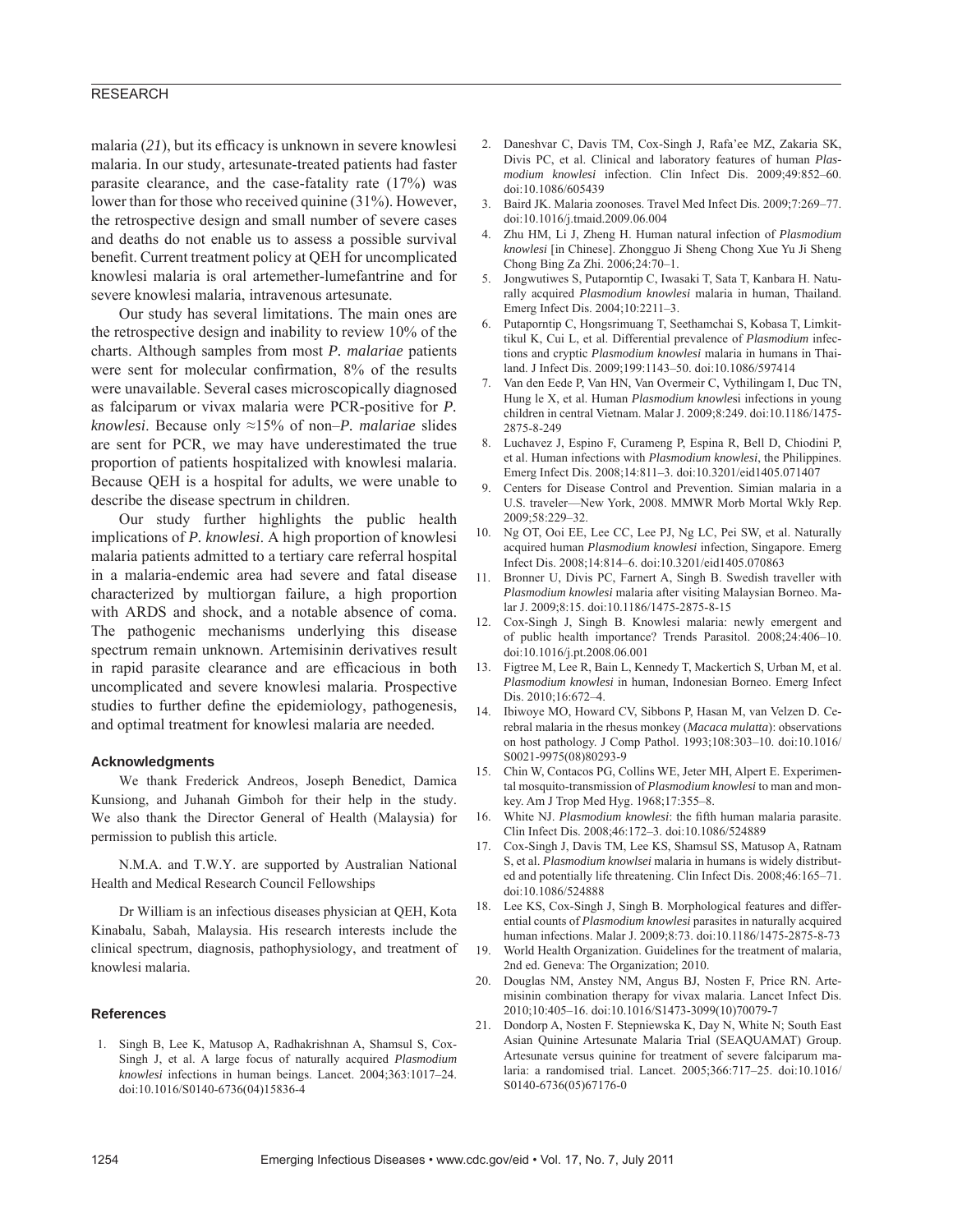# RESEARCH

malaria  $(21)$ , but its efficacy is unknown in severe knowlesi malaria. In our study, artesunate-treated patients had faster parasite clearance, and the case-fatality rate (17%) was lower than for those who received quinine (31%). However, the retrospective design and small number of severe cases and deaths do not enable us to assess a possible survival benefit. Current treatment policy at QEH for uncomplicated knowlesi malaria is oral artemether-lumefantrine and for severe knowlesi malaria, intravenous artesunate.

Our study has several limitations. The main ones are the retrospective design and inability to review 10% of the charts. Although samples from most *P. malariae* patients were sent for molecular confirmation, 8% of the results were unavailable. Several cases microscopically diagnosed as falciparum or vivax malaria were PCR-positive for *P. knowlesi*. Because only ≈15% of non–*P. malariae* slides are sent for PCR, we may have underestimated the true proportion of patients hospitalized with knowlesi malaria. Because QEH is a hospital for adults, we were unable to describe the disease spectrum in children.

Our study further highlights the public health implications of *P. knowlesi*. A high proportion of knowlesi malaria patients admitted to a tertiary care referral hospital in a malaria-endemic area had severe and fatal disease characterized by multiorgan failure, a high proportion with ARDS and shock, and a notable absence of coma. The pathogenic mechanisms underlying this disease spectrum remain unknown. Artemisinin derivatives result in rapid parasite clearance and are efficacious in both uncomplicated and severe knowlesi malaria. Prospective studies to further define the epidemiology, pathogenesis, and optimal treatment for knowlesi malaria are needed.

## **Acknowledgments**

We thank Frederick Andreos, Joseph Benedict, Damica Kunsiong, and Juhanah Gimboh for their help in the study. We also thank the Director General of Health (Malaysia) for permission to publish this article.

N.M.A. and T.W.Y. are supported by Australian National Health and Medical Research Council Fellowships

Dr William is an infectious diseases physician at QEH, Kota Kinabalu, Sabah, Malaysia. His research interests include the clinical spectrum, diagnosis, pathophysiology, and treatment of knowlesi malaria.

#### **References**

 1. Singh B, Lee K, Matusop A, Radhakrishnan A, Shamsul S, Cox-Singh J, et al. A large focus of naturally acquired *Plasmodium knowlesi* infections in human beings. Lancet. 2004;363:1017–24. doi:10.1016/S0140-6736(04)15836-4

- 2. Daneshvar C, Davis TM, Cox-Singh J, Rafa'ee MZ, Zakaria SK, Divis PC, et al. Clinical and laboratory features of human *Plasmodium knowlesi* infection. Clin Infect Dis. 2009;49:852–60. doi:10.1086/605439
- 3. Baird JK. Malaria zoonoses. Travel Med Infect Dis. 2009;7:269–77. doi:10.1016/j.tmaid.2009.06.004
- 4. Zhu HM, Li J, Zheng H. Human natural infection of *Plasmodium knowlesi* [in Chinese]. Zhongguo Ji Sheng Chong Xue Yu Ji Sheng Chong Bing Za Zhi. 2006;24:70–1.
- 5. Jongwutiwes S, Putaporntip C, Iwasaki T, Sata T, Kanbara H. Naturally acquired *Plasmodium knowlesi* malaria in human, Thailand. Emerg Infect Dis. 2004;10:2211–3.
- Putaporntip C, Hongsrimuang T, Seethamchai S, Kobasa T, Limkittikul K, Cui L, et al. Differential prevalence of *Plasmodium* infections and cryptic *Plasmodium knowlesi* malaria in humans in Thailand. J Infect Dis. 2009;199:1143–50. doi:10.1086/597414
- 7. Van den Eede P, Van HN, Van Overmeir C, Vythilingam I, Duc TN, Hung le X, et al. Human *Plasmodium knowle*si infections in young children in central Vietnam. Malar J. 2009;8:249. doi:10.1186/1475- 2875-8-249
- 8. Luchavez J, Espino F, Curameng P, Espina R, Bell D, Chiodini P, et al. Human infections with *Plasmodium knowlesi*, the Philippines. Emerg Infect Dis. 2008;14:811–3. doi:10.3201/eid1405.071407
- 9. Centers for Disease Control and Prevention. Simian malaria in a U.S. traveler—New York, 2008. MMWR Morb Mortal Wkly Rep. 2009;58:229–32.
- 10. Ng OT, Ooi EE, Lee CC, Lee PJ, Ng LC, Pei SW, et al. Naturally acquired human *Plasmodium knowlesi* infection, Singapore. Emerg Infect Dis. 2008;14:814–6. doi:10.3201/eid1405.070863
- 11. Bronner U, Divis PC, Farnert A, Singh B. Swedish traveller with *Plasmodium knowlesi* malaria after visiting Malaysian Borneo. Malar J. 2009;8:15. doi:10.1186/1475-2875-8-15
- 12. Cox-Singh J, Singh B. Knowlesi malaria: newly emergent and of public health importance? Trends Parasitol. 2008;24:406–10. doi:10.1016/j.pt.2008.06.001
- 13. Figtree M, Lee R, Bain L, Kennedy T, Mackertich S, Urban M, et al. *Plasmodium knowlesi* in human, Indonesian Borneo. Emerg Infect Dis. 2010;16:672–4.
- 14. Ibiwoye MO, Howard CV, Sibbons P, Hasan M, van Velzen D. Cerebral malaria in the rhesus monkey (*Macaca mulatta*): observations on host pathology. J Comp Pathol. 1993;108:303–10. doi:10.1016/ S0021-9975(08)80293-9
- 15. Chin W, Contacos PG, Collins WE, Jeter MH, Alpert E. Experimental mosquito-transmission of *Plasmodium knowlesi* to man and monkey. Am J Trop Med Hyg. 1968;17:355–8.
- 16. White NJ. *Plasmodium knowlesi*: the fifth human malaria parasite. Clin Infect Dis. 2008;46:172–3. doi:10.1086/524889
- 17. Cox-Singh J, Davis TM, Lee KS, Shamsul SS, Matusop A, Ratnam S, et al. *Plasmodium knowlsei* malaria in humans is widely distributed and potentially life threatening. Clin Infect Dis. 2008;46:165–71. doi:10.1086/524888
- 18. Lee KS, Cox-Singh J, Singh B. Morphological features and differential counts of *Plasmodium knowlesi* parasites in naturally acquired human infections. Malar J. 2009;8:73. doi:10.1186/1475-2875-8-73
- 19. World Health Organization. Guidelines for the treatment of malaria, 2nd ed. Geneva: The Organization; 2010.
- 20. Douglas NM, Anstey NM, Angus BJ, Nosten F, Price RN. Artemisinin combination therapy for vivax malaria. Lancet Infect Dis. 2010;10:405–16. doi:10.1016/S1473-3099(10)70079-7
- 21. Dondorp A, Nosten F. Stepniewska K, Day N, White N; South East Asian Quinine Artesunate Malaria Trial (SEAQUAMAT) Group. Artesunate versus quinine for treatment of severe falciparum malaria: a randomised trial. Lancet. 2005;366:717–25. doi:10.1016/ S0140-6736(05)67176-0